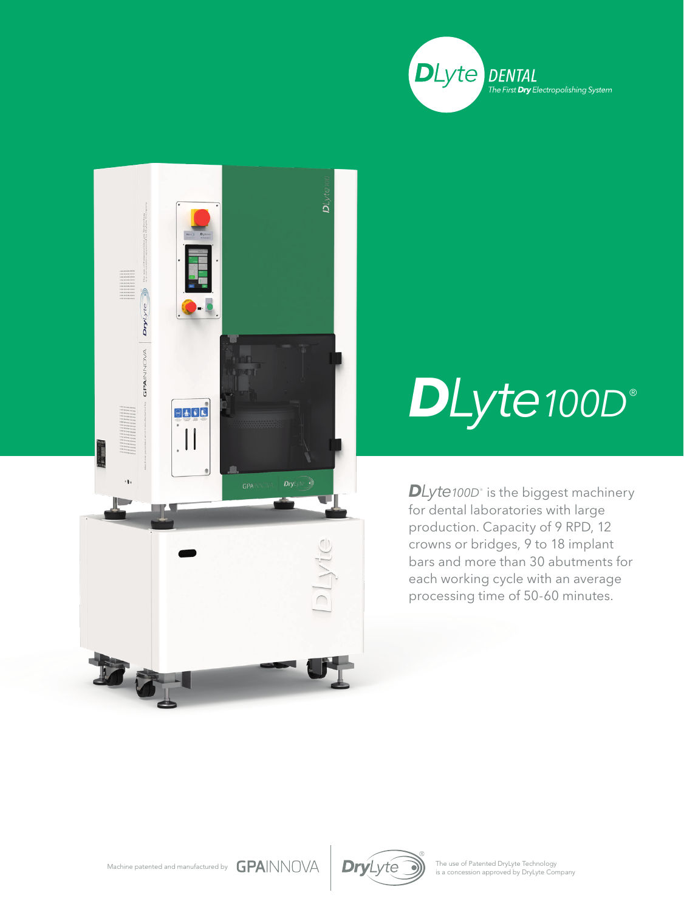



## $D$ *Lyte100D*

 $\mathsf{D}$ *Lyte100D* $^{\circ}$  is the biggest machinery for dental laboratories with large production. Capacity of 9 RPD, 12 crowns or bridges, 9 to 18 implant bars and more than 30 abutments for each working cycle with an average processing time of 50-60 minutes.



The use of Patented DryLyte Technology<br>is a concession approved by DryLyte Company

Machine patented and manufactured by  $\text{GPA}$  NNOVA  $\text{DryL}$ yte